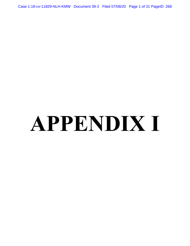Case 1:18-cv-11829-NLH-KMW Document 39-2 Filed 07/08/20 Page 1 of 31 PageID: 268

# **APPENDIX I**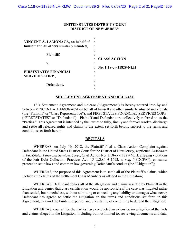#### **UNITED STATES DISTRICT COURT DISTRICT OF NEW JERSEY**

| VINCENT A. LAMONACA, on behalf of<br>himself and all others similarly situated, |                                      |
|---------------------------------------------------------------------------------|--------------------------------------|
| Plaintiff,                                                                      |                                      |
|                                                                                 | <b>CLASS ACTION</b>                  |
| v.                                                                              |                                      |
|                                                                                 | No. 1:18-cv-11829-NLH<br>$\bullet$ . |
| <b>FIRSTSTATES FINANCIAL</b>                                                    | ٠                                    |
| <b>SERVICES CORP.,</b>                                                          |                                      |
|                                                                                 |                                      |
| Defendant.                                                                      |                                      |
|                                                                                 |                                      |

#### **SETTLEMENT AGREEMENT AND RELEASE**

This Settlement Agreement and Release ("Agreement") is hereby entered into by and between VINCENT A. LAMONACA on behalf of himself and other similarly situated individuals (the "Plaintiff" or "Class Representative"), and FIRSTSTATES FINANCIAL SERVICES CORP. ("FIRSTSTATES" or "Defendant"). Plaintiff and Defendant are collectively referred to as the "Parties." This Agreement is intended by the Parties to fully, finally and forever resolve, discharge and settle all released rights and claims to the extent set forth below, subject to the terms and conditions set forth herein.

#### **RECITALS**

WHEREAS, on July 19, 2018, the Plaintiff filed a Class Action Complaint against Defendant in the United States District Court for the District of New Jersey, captioned *LaMonaca v. FirstStates Financial Services Corp.*, Civil Action No. 1:18-cv-11829-NLH, alleging violations of the Fair Debt Collection Practices Act, 15 U.S.C. § 1692, *et seq*. ("FDCPA"), consumer protection state laws and common law governing Defendant's conduct (the "Litigation");

WHEREAS, the purpose of this Agreement is to settle all of the Plaintiff's claims, which includes the claims of the Settlement Class Members as alleged in the Litigation;

WHEREAS, Defendant denies all of the allegations and claims asserted by Plaintiff in the Litigation and denies that class certification would be appropriate if the case was litigated rather than settled, but nonetheless, without admitting or conceding any liability or damages whatsoever, Defendant has agreed to settle the Litigation on the terms and conditions set forth in this Agreement, to avoid the burden, expense, and uncertainty of continuing to defend the Litigation;

WHEREAS, counsel for the Parties have conducted an extensive investigation of the facts and claims alleged in the Litigation, including but not limited to, reviewing documents and data,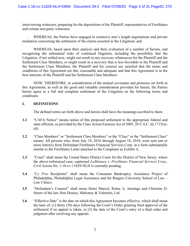interviewing witnesses, preparing for the depositions of the Plaintiff, representatives of FirstStates and certain non-party witnesses;

WHEREAS, the Parties have engaged in extensive arm's length negotiations and private mediation concerning the settlement of the claims asserted in the Litigation; and

WHEREAS, based upon their analysis and their evaluation of a number of factors, and recognizing the substantial risks of continued litigation, including the possibility that the Litigation, if not settled now, might not result in any recovery whatsoever for the Plaintiff and the Settlement Class Members, or might result in a recovery that is less favorable to the Plaintiff and the Settlement Class Members, the Plaintiff and his counsel are satisfied that the terms and conditions of this Agreement are fair, reasonable and adequate and that this Agreement is in the best interests of the Plaintiff and the Settlement Class Members.

NOW, THEREFORE, in consideration of the mutual covenants and promises set forth in this Agreement, as well as the good and valuable consideration provided for herein, the Parties hereto agree to a full and complete settlement of the Litigation on the following terms and conditions:

#### **I. DEFINITIONS**

The defined terms set forth above and herein shall have the meanings ascribed to them.

- **1.1** "CAFA Notice" means notice of this proposed settlement to the appropriate federal and state officials, as provided by the Class Action Fairness Act of 2005, 28 U.S.C. §§ 1715(a)- (d).
- **1.2** "Class Members" or "Settlement Class Members" or the "Class" or the "Settlement Class" means: All persons who, from July 19, 2016 through August 18, 2018, were sent one or more letter(s) from Defendant FirstStates Financial Services Corp. in a form substantially similar to the FirstStates Letter attached to the Complaint as Exhibit A.
- **1.3** "Court" shall mean the United States District Court for the District of New Jersey, where the above-referenced case, captioned *LaMonaca v. FirstStates Financial Services Corp.*, Civil Action No. 1:18-cv-11829-NLH is currently pending.
- **1.4** "*Cy Pres* Recipients" shall mean the Consumer Bankruptcy Assistance Project of Philadelphia, Philadelphia Legal Assistance and the Rutgers University School of Law – Law Clinics.
- **1.5** "Defendant's Counsel" shall mean Henri Marcel, Rufus A. Jennings and Christine D. Steere of the law firm Deasey, Mahoney & Valentini, Ltd.
- **1.6** "Effective Date" is the date on which this Agreement becomes effective, which shall mean the later of: (1) thirty (30) days following the Court's Order granting final approval of the settlement if no appeal is taken, or (2) the date of the Court's entry of a final order and judgment after resolving any appeals.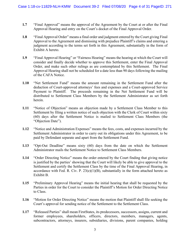- **1.7** "Final Approval" means the approval of the Agreement by the Court at or after the Final Approval Hearing and entry on the Court's docket of the Final Approval Order.
- **1.8** "Final Approval Order" means a final order and judgment entered by the Court giving Final Approval to the Agreement and dismissing with prejudice Plaintiff's claims and entering a judgment according to the terms set forth in this Agreement, substantially in the form of Exhibit A hereto.
- **1.9** "Final Approval Hearing" or "Fairness Hearing" means the hearing at which the Court will consider and finally decide whether to approve this Settlement, enter the Final Approval Order, and make such other rulings as are contemplated by this Settlement. The Final Approval Hearing shall not be scheduled for a date less than 90 days following the mailing of the CAFA Notice.
- **1.10** "Net Settlement Fund" means the amount remaining in the Settlement Fund after the deduction of Court-approved attorneys' fees and expenses and a Court-approved Service Payment to Plaintiff. The proceeds remaining in the Net Settlement Fund will be distributed to Settlement Class Members by the Settlement Administrator as set forth herein.
- **1.11** "Notice of Objection" means an objection made by a Settlement Class Member to this Settlement by filing a written notice of such objection with the Clerk of Court within sixty (60) days after the Settlement Notice is mailed to Settlement Class Members (the "Objection Date").
- **1.12** "Notice and Administration Expenses" means the fees, costs, and expenses incurred by the Settlement Administrator in order to carry out its obligations under this Agreement, to be paid by Defendant separate and apart from the Settlement Fund.
- **1.13** "Opt-Out Deadline" means sixty (60) days from the date on which the Settlement Administrator mails the Settlement Notice to Settlement Class Members.
- **1.14** "Order Directing Notice" means the order entered by the Court finding that giving notice is justified by the parties' showing that the Court will likely be able to give approval to the Settlement and certify the Settlement Class by the time of the Final Approval Hearing, in accordance with Fed. R. Civ. P.  $23(e)(1)(B)$ , substantially in the form attached hereto as Exhibit B.
- **1.15** "Preliminary Approval Hearing" means the initial hearing that shall be requested by the Parties in order for the Court to consider the Plaintiff's Motion for Order Directing Notice to Class.
- **1.16** "Motion for Order Directing Notice" means the motion that Plaintiff shall file seeking the Court's approval for sending notice of the Settlement to the Settlement Class.
- **1.17** "Released Parties" shall mean FirstStates, its predecessors, successors, assigns, current and former employees, shareholders, officers, directors, members, managers, agents, subcontractors, attorneys, insurers, subsidiaries, divisions, parent companies, holding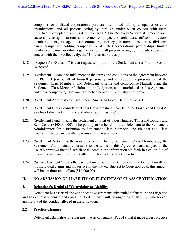companies or affiliated corporations, partnerships, limited liability companies or other organizations, and all persons acting by, through, under or in concert with them. Specifically excepted from this definition are PA Fire Recovery Service, its predecessors, successors, assigns current and former employees, shareholders, officers, directors, members, managers, agents, subcontractors, attorneys, insurers, subsidiaries, divisions, parent companies, holding companies or affiliated corporations, partnerships, limited liability companies or other organizations, and all persons acting by, through, under or in concert with them (collectively, the "Unreleased Parties").

- **1.18** "Request for Exclusion" is that request to opt-out of the Settlement as set forth in Section IX hereof.
- **1.19** "Settlement" means the fulfillment of the terms and conditions of the agreement between the Plaintiff (on behalf of himself personally and as proposed representative of the Settlement Class Members) and Defendant to settle and compromise Plaintiff's and the Settlement Class Members' claims in the Litigation, as memorialized in this Agreement and the accompanying documents attached hereto, fully, finally and forever.
- **1.20** "Settlement Administrator" shall mean American Legal Claim Services, LLC.
- **1.21** "Settlement Class Counsel" or "Class Counsel" shall mean James A. Francis and David A. Searles of the law firm Francis Mailman Soumilas, P.C.
- **1.22** "Settlement Fund" means the settlement amount of Four Hundred Thousand Dollars and Zero Cents (\$400,000.00), to be paid by or on behalf of the Defendant to the Settlement Administrator for distribution to Settlement Class Members, the Plaintiff and Class Counsel in accordance with the terms of this Agreement.
- **1.23** "Settlement Notice" is the notice to be sent to the Settlement Class Members by the Settlement Administrator, pursuant to the terms of this Agreement and subject to the Court's approval thereof, which shall contain the information set forth in Section 8.2 of this Agreement and be substantially in the form of Exhibit C hereto.
- **1.24** "Service Payment" means the payment made out of the Settlement Fund to the Plaintiff for his individual claims and his service in the matter. Subject to Court approval, this amount will be ten thousand dollars (\$10,000.00).

# **II. NO ADMISSION OF LIABILITY OR ELEMENTS OF CLASS CERTIFICATION**

# **2.1 Defendant's Denial of Wrongdoing or Liability**

 Defendant has asserted and continues to assert many substantial defenses in the Litigation and has expressly denied and continues to deny any fault, wrongdoing or liability, whatsoever, arising out of the conduct alleged in the Litigation.

# **2.2 Practice Changes**

Defendant affirmatively represents that as of August 18, 2018 that it made a best practice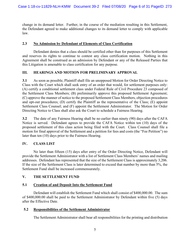change in its demand letter. Further, in the course of the mediation resulting in this Settlement, the Defendant agreed to make additional changes to its demand letter to comply with applicable law.

# **2.3 No Admission by Defendant of Elements of Class Certification**

 Defendant denies that a class should be certified other than for purposes of this Settlement and reserves its rights to continue to contest any class certification motion. Nothing in this Agreement shall be construed as an admission by Defendant or any of the Released Parties that this Litigation is amenable to class certification for any purpose.

# **III. HEARINGS AND MOTION FOR PRELIMINARY APPROVAL**

**3.1** As soon as possible, Plaintiff shall file an unopposed Motion for Order Directing Notice to Class with the Court which shall seek entry of an order that would, for settlement purposes only: (A) certify a conditional settlement class under Federal Rule of Civil Procedure 23 composed of the Settlement Class Members; (B) preliminarily approve this proposed Settlement Agreement; (C) approve the manner of notice to the proposed Settlement Class Members, objection procedures and opt-out procedures; (D) certify the Plaintiff as the representative of the Class; (E) appoint Settlement Class Counsel; and (F) appoint the Settlement Administrator. The Motion for Order Directing Notice to Class shall also ask the Court to schedule a Fairness Hearing.

**3.2** The date of any Fairness Hearing shall be no earlier than ninety (90) days after the CAFA Notice is served. Defendant agrees to provide the CAFA Notice within ten (10) days of the proposed settlement of this class action being filed with the Court. Class Counsel shall file a motion for final approval of the Settlement and a petition for fees and costs (the "Fee Petition") no later than ten (10) days prior to the Fairness Hearing.

# **IV. CLASS LIST**

 No later than fifteen (15) days after entry of the Order Directing Notice, Defendant will provide the Settlement Administrator with a list of Settlement Class Members' names and mailing addresses. Defendant has represented that the size of the Settlement Class is approximately 3,206. If the size of the Settlement Class is later determined to exceed that number by more than 5%, the Settlement Fund shall be increased commensurately.

#### **V. THE SETTLEMENT FUND**

#### **5.1 Creation of and Deposit Into the Settlement Fund**

 Defendant will establish the Settlement Fund which shall consist of \$400,000.00. The sum of \$400,000.00 shall be paid to the Settlement Administrator by Defendant within five (5) days after the Effective Date.

#### **5.2 Responsibilities of the Settlement Administrator**

The Settlement Administrator shall bear all responsibilities for the printing and distribution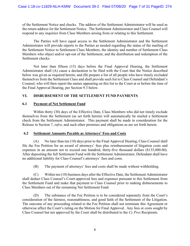of the Settlement Notice and checks. The address of the Settlement Administrator will be used as the return address for the Settlement Notice. The Settlement Administrator and Class Counsel will respond to any inquiries from Class Members arising from or relating to this Settlement.

The Parties will have equal access to the Settlement Administrator and the Settlement Administrator will provide reports to the Parties as needed regarding the status of the mailing of the Settlement Notice to Settlement Class Members, the identity and number of Settlement Class Members who object and/or opt-out of the Settlement, and the distribution and redemption of the Settlement checks.

Not later than fifteen (15) days before the Final Approval Hearing, the Settlement Administrator shall (A) cause a declaration to be filed with the Court that the Notice described below was given as required herein; and (B) prepare a list of all people who have timely excluded themselves from the Settlement Class and shall provide such list to Class Counsel and Defendant's Counsel, who will then report the names appearing on this list to the Court at or before the time of the Final Approval Hearing, per Section 9.3 below.

# **VI. DISBURSEMENT OF THE SETTLEMENT FUND PAYMENTS**

# **6.1 Payment of Net Settlement Fund**

 Within thirty (30) days of the Effective Date, Class Members who did not timely exclude themselves from the Settlement (as set forth herein) will automatically be mailed a Settlement check from the Settlement Administrator. This payment shall be made in consideration for the Release in Section 7, *infra*, and such other promises and obligations as are set forth herein.

# **6.2 Settlement Amounts Payable as Attorneys' Fees and Costs**

(A) No later than ten (10) days prior to the Final Approval Hearing, Class Counsel shall file the Fee Petition for an award of attorneys' fees plus reimbursement of litigation costs and expenses in an amount not to exceed one hundred, thirty-five thousand dollars (\$135,000.00). After depositing the full Settlement Fund with the Settlement Administrator, Defendant shall have no additional liability for Class Counsel's attorneys' fees and costs.

(B) The payment of attorneys' fees and costs shall be made without withholding.

(C) Within ten (10) business days after the Effective Date, the Settlement Administrator shall deduct Class Counsel's Court-approved fees and expenses pursuant to this Settlement from the Settlement Fund and make that payment to Class Counsel prior to making disbursements to Class Members out of the remaining Net Settlement Fund.

(D) The substance of the Fee Petition is to be considered separately from the Court's consideration of the fairness, reasonableness, and good faith of the Settlement of the Litigation. The outcome of any proceeding related to the Fee Petition shall not terminate this Agreement or otherwise affect the Court's ruling on the Motion for Final Approval. Any fees or costs sought by Class Counsel but not approved by the Court shall be distributed to the *Cy Pres* Recipients.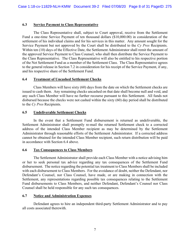### **6.3 Service Payment to Class Representative**

 The Class Representative shall, subject to Court approval, receive from the Settlement Fund a one-time Service Payment of ten thousand dollars (\$10,000.00) in consideration of the settlement of his individual claims and for his services in this matter. Any amount sought for the Service Payment but not approved by the Court shall be distributed to the *Cy Pres* Recipients. Within ten (10) days of the Effective Date, the Settlement Administrator shall remit the amount of the approved Service Payment to Class Counsel, who shall then distribute the Service Payment to the Class Representative. The Class Representative will also be entitled to his respective portion of the Net Settlement Fund as a member of the Settlement Class. The Class Representative agrees to the general release in Section 7.2 in consideration for his receipt of the Service Payment, if any, and his respective share of the Settlement Fund.

#### **6.4 Treatment of Uncashed Settlement Checks**

 Class Members will have sixty (60) days from the date on which the Settlement checks are issued to cash them. Any remaining checks uncashed on that date shall become null and void, and any such Class Member will have no further recourse pursuant to this Settlement. All funds not disbursed because the checks were not cashed within the sixty (60) day period shall be distributed to the *Cy Pres* Recipients.

### **6.5 Undeliverable Settlement Checks**

 In the event that a Settlement Fund disbursement is returned as undeliverable, the Settlement Administrator shall promptly re-mail the returned Settlement check to a corrected address of the intended Class Member recipient as may be determined by the Settlement Administrator through reasonable efforts of the Settlement Administrator. If a corrected address cannot be obtained for the intended Class Member recipient, such return distribution will be paid in accordance with Section 6.4 above.

#### **6.6 Tax Consequences to Class Members**

 The Settlement Administrator shall provide each Class Member with a notice advising him or her to seek personal tax advice regarding any tax consequences of the Settlement Fund disbursement. The notice regarding the potential tax treatment to Class Members shall be included with each disbursement to Class Members. For the avoidance of doubt, neither the Defendant, nor Defendant's Counsel, nor Class Counsel, have made, or are making in connection with the Settlement, any representations regarding possible tax consequences relating to the Settlement Fund disbursements to Class Members, and neither Defendant, Defendant's Counsel nor Class Counsel shall be held responsible for any such tax consequences.

#### **6.7 Notice and Administration Expenses**

 Defendant agrees to hire an independent third-party Settlement Administrator and to pay all costs associated therewith.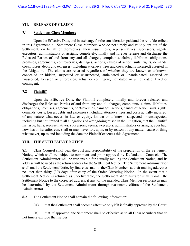# **VII. RELEASE OF CLAIMS**

### **7.1 Settlement Class Members**

 Upon the Effective Date, and in exchange for the consideration paid and the relief described in this Agreement, all Settlement Class Members who do not timely and validly opt out of the Settlement, on behalf of themselves, their issue, heirs, representatives, successors, agents, executors, administrators or assigns, completely, finally and forever release and discharge the Released Parties of and from any and all charges, complaints, claims, liabilities, obligations, promises, agreements, controversies, damages, actions, causes of action, suits, rights, demands, costs, losses, debts and expenses (including attorneys' fees and costs actually incurred) asserted in the Litigation. The claims are released regardless of whether they are known or unknown, concealed or hidden, suspected or unsuspected, anticipated or unanticipated, asserted or unasserted, foreseen or unforeseen, actual or contingent, liquidated or unliquidated, fixed or contingent.

### **7.2 Plaintiff**

 Upon the Effective Date, the Plaintiff completely, finally and forever releases and discharges the Released Parties of and from any and all charges, complaints, claims, liabilities, obligations, promises, agreements, controversies, damages, actions, causes of action, suits, rights, demands, costs, losses, debts and expenses (including attorneys' fees and costs actually incurred) of any nature whatsoever, in law or equity, known or unknown, suspected or unsuspected, including but not limited to all allegations of wrongdoing raised in the Litigation, that the Plaintiff, his issue, heirs, representatives, successors, agents, executors, administrators or assigns, ever had, now has or hereafter can, shall or may have, for, upon, or by reason of any matter, cause or thing whatsoever, up to and including the date the Plaintiff executes this Agreement.

# **VIII. THE SETTLEMENT NOTICE**

**8.1** Class Counsel shall bear the cost and responsibility of the preparation of the Settlement Notice, which shall be subject to comment and prior approval by Defendant's Counsel. The Settlement Administrator will be responsible for actually mailing the Settlement Notice, and its address will be used as the return address for the Settlement Notice. The Settlement Administrator shall mail the Settlement Notice by first-class mail to the Class Members at their mailing addresses no later than thirty (30) days after entry of the Order Directing Notice. In the event that a Settlement Notice is returned as undeliverable, the Settlement Administrator shall re-mail the Settlement Notice to the corrected address, if any, of the intended Class Member recipient as may be determined by the Settlement Administrator through reasonable efforts of the Settlement Administrator.

**8.2** The Settlement Notice shall contain the following information:

(A) that the Settlement shall become effective only if it is finally approved by the Court;

 (B) that, if approved, the Settlement shall be effective as to all Class Members that do not timely exclude themselves;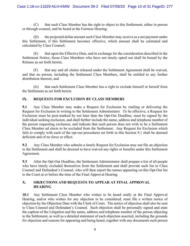(C) that such Class Member has the right to object to this Settlement, either in person or through counsel, and be heard at the Fairness Hearing;

 (D) the projected dollar amount such Class Member may receive as a net payment under this Settlement, if this Settlement becomes effective, which amount shall be estimated and calculated by Class Counsel;

 (E) that upon the Effective Date, and in exchange for the consideration described in the Settlement Notice, those Class Members who have not timely opted out shall be bound by the Release as set forth herein;

 (F) that any and all claims released under the Settlement Agreement shall be waived, and that no person, including the Settlement Class Members, shall be entitled to any further distribution thereon; and

 (G) that each Settlement Class Member has a right to exclude himself or herself from the Settlement as set forth herein.

# **IX. REQUESTS FOR EXCLUSION BY CLASS MEMBERS**

**9.1** Any Class Member may make a Request for Exclusion by mailing or delivering the Request for Exclusion in writing to the Settlement Administrator. To be effective, a Request for Exclusion must be post-marked by not later than the Opt-Out Deadline, must be signed by the individual seeking exclusion, and shall further include the name, address and telephone number of the person requesting exclusion, and indicate that such person does not wish to be a Settlement Class Member ad elects to be excluded from the Settlement. Any Request for Exclusion which fails to comply with each of the opt-out procedures set forth in this Section 9.1 shall be deemed deficient and of no force or effect.

**9.2** Any Class Member who submits a timely Request for Exclusion may not file an objection to the Settlement and shall be deemed to have waived any rights or benefits under this Settlement Agreement.

**9.3** After the Opt-Out Deadline, the Settlement Administrator shall prepare a list of all people who have timely excluded themselves from the Settlement and shall provide such list to Class Counsel and Defendant's Counsel, who will then report the names appearing on this Opt-Out list to the Court at or before the time of the Final Approval Hearing.

# **X. OBJECTIONS AND REQUESTS TO APPEAR AT FINAL APPROVAL HEARING**

**10.1** Any Settlement Class Member who wishes to be heard orally at the Final Approval Hearing, and/or who wishes for any objection to be considered, must file a written notice of objection by the Objection Date with the Clerk of Court. The notice of objection shall also be sent to Class Counsel and Defendant's Counsel. Such objection shall be personally signed and state the caption of the Litigation and the name, address and telephone number of the person objecting to the Settlement, as well as a detailed statement of each objection asserted, including the grounds for objection and reasons for appearing and being heard, together with any documents such person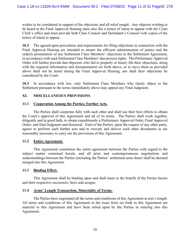wishes to be considered in support of the objection, and all relief sought. Any objector wishing to be heard at the Final Approval Hearing must also file a notice of intent to appear with the Court Clerk's office and must provide both Class Counsel and Defendant's Counsel with copies of the notice of intent to appear.

**10.2** The agreed-upon procedures and requirements for filing objections in connection with the Final Approval Hearing are intended to ensure the efficient administration of justice and the orderly presentation of any Settlement Class Members' objections to the Settlement Agreement, in accordance with such Settlement Class Members' due process rights. The Preliminary Approval Order will further provide that objectors who fail to properly or timely file their objections, along with the required information and documentation set forth above, or to serve them as provided above shall not be heard during the Final Approval Hearing, nor shall their objections be considered by the Court.

**10.3** In accordance with law, only Settlement Class Members who timely object to the Settlement pursuant to the terms immediately above may appeal any Final Judgment.

# **XI. MISCELLANEOUS PROVISIONS**

### **11.1 Cooperation Among the Parties; Further Acts.**

 The Parties shall cooperate fully with each other and shall use their best efforts to obtain the Court's approval of this Agreement and all of its terms. The Parties shall work together, diligently and in good faith, to obtain expeditiously a Preliminary Approval Order, Final Approval Order, and final Judgment and dismissal. Each of the Parties, upon the request of any other party, agrees to perform such further acts and to execute and deliver such other documents as are reasonably necessary to carry out the provisions of this Agreement.

#### **11.2 Entire Agreement.**

 This Agreement constitutes the entire agreement between the Parties with regard to the subject matter contained herein, and all prior and contemporaneous negotiations and understandings between the Parties (including the Parties' settlement term sheet) shall be deemed merged into this Agreement.

# **11.3 Binding Effect.**

 This Agreement shall be binding upon and shall inure to the benefit of the Parties hereto and their respective successors, heirs and assigns.

# **11.4 Arms' Length Transaction; Materiality of Terms.**

 The Parties have negotiated all the terms and conditions of this Agreement at arm's length. All terms and conditions of this Agreement in the exact form set forth in this Agreement are material to this Agreement and have been relied upon by the Parties in entering into this Agreement.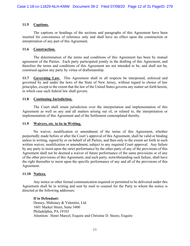## **11.5 Captions.**

 The captions or headings of the sections and paragraphs of this Agreement have been inserted for convenience of reference only and shall have no effect upon the construction or interpretation of any part of this Agreement.

#### **11.6 Construction.**

 The determination of the terms and conditions of this Agreement has been by mutual agreement of the Parties. Each party participated jointly in the drafting of this Agreement, and therefore the terms and conditions of this Agreement are not intended to be, and shall not be, construed against any party by virtue of draftsmanship.

**11.7 Governing Law.** This Agreement shall in all respects be interpreted, enforced and governed by and under the laws of the State of New Jersey, without regard to choice of law principles, except to the extent that the law of the United States governs any matter set forth herein, in which case such federal law shall govern.

### **11.8 Continuing Jurisdiction.**

 The Court shall retain jurisdiction over the interpretation and implementation of this Agreement as well as any and all matters arising out of, or related to, the interpretation or implementation of this Agreement and of the Settlement contemplated thereby.

#### **11.9 Waivers, etc. to be in Writing.**

 No waiver, modification or amendment of the terms of this Agreement, whether purportedly made before or after the Court's approval of this Agreement, shall be valid or binding unless in writing, signed by or on behalf of all Parties, and then only to the extent set forth in such written waiver, modification or amendment, subject to any required Court approval. Any failure by any party to insist upon the strict performance by the other party of any of the provisions of this Agreement shall not be deemed a waiver of future performance of the same provisions or of any of the other provisions of this Agreement, and such party, notwithstanding such failure, shall have the right thereafter to insist upon the specific performance of any and all of the provisions of this Agreement.

# **11.10 Notices.**

 Any notice or other formal communication required or permitted to be delivered under this Agreement shall be in writing and sent by mail to counsel for the Party to whom the notice is directed at the following addresses:

#### **If to Defendant:**

Deasey, Mahoney & Valentini, Ltd. 1601 Market Street, Suite 3400 Philadelphia, PA 19103 Attention: Henri Marcel, Esquire and Christine D. Steere, Esquire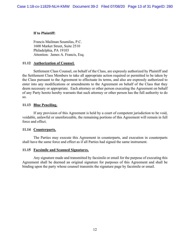## **If to Plaintiff:**

Francis Mailman Soumilas, P.C. 1600 Market Street, Suite 2510 Philadelphia, PA 19103 Attention: James A. Francis, Esq.

#### **11.12 Authorization of Counsel.**

 Settlement Class Counsel, on behalf of the Class, are expressly authorized by Plaintiff and the Settlement Class Members to take all appropriate action required or permitted to be taken by the Class pursuant to the Agreement to effectuate its terms, and also are expressly authorized to enter into any modifications or amendments to the Agreement on behalf of the Class that they deem necessary or appropriate. Each attorney or other person executing the Agreement on behalf of any Party hereto hereby warrants that such attorney or other person has the full authority to do so.

### **11.13 Blue Penciling.**

 If any provision of this Agreement is held by a court of competent jurisdiction to be void, voidable, unlawful or unenforceable, the remaining portions of this Agreement will remain in full force and effect.

#### **11.14 Counterparts.**

 The Parties may execute this Agreement in counterparts, and execution in counterparts shall have the same force and effect as if all Parties had signed the same instrument.

#### **11.15 Facsimile and Scanned Signatures.**

 Any signature made and transmitted by facsimile or email for the purpose of executing this Agreement shall be deemed an original signature for purposes of this Agreement and shall be binding upon the party whose counsel transmits the signature page by facsimile or email.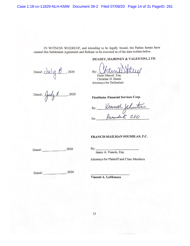IN WITNESS WHEREOF, and intending to be legally bound, the Parties hereto have caused this Settlement Agreement and Release to be executed as of the date written below.

Dated:  $du/y \&$ , 2020

DEASEY, MAHONEY & VALENTINI, LTD.

By: Henri Marcel, Esq.

Christine D. Steere **Attorneys for Defendant** 

Dated: Cubs  $\frac{1}{2020}$ 

**FirstStates Financial Services Corp.** 

By: <u>Vermeth Jehnster</u><br>Its: *President CEO* 

#### FRANCIS MAILMAN SOUMILAS, P.C.

Dated: 2020

 $By:$ James A. Francis, Esq.

Attorneys for Plaintiff and Class Members

Vincent A. LaMonaca

13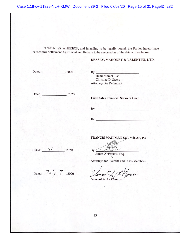Case 1:18-cv-11829-NLH-KMW Document 39-2 Filed 07/08/20 Page 15 of 31 PageID: 282

IN WITNESS WHEREOF, and intending to be legally bound, the Parties hereto have caused this Settlement Agreement and Release to be executed as of the date written below.

#### DEASEY, MAHONEY & VALENTINI, LTD.

By: Henri Marcel, Esq. Christine D. Steere **Attorneys for Defendant** 

Dated: 3020

**FirstStates Financial Services Corp.** 

 $By:$ 

Its:  $\frac{1}{2}$ 

By:

FRANCIS MAILMAN SOUMILAS, P.C.

Dated: July 8 , 2020

Dated:  $\overline{\mathcal{J}\iota\iota}$   $\overline{\mathcal{J}}$ , 2020

Attorneys for Plaintiff and Class Members wace ncod,

James A. Francis, Esq.

Vincent A. LaMonaca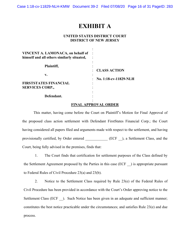Case 1:18-cv-11829-NLH-KMW Document 39-2 Filed 07/08/20 Page 16 of 31 PageID: 283

# **EXHIBIT A**

### **UNITED STATES DISTRICT COURT DISTRICT OF NEW JERSEY**

| VINCENT A. LAMONACA, on behalf of<br>himself and all others similarly situated, |                       |
|---------------------------------------------------------------------------------|-----------------------|
| Plaintiff,                                                                      |                       |
|                                                                                 | <b>CLASS ACTION</b>   |
| v.                                                                              |                       |
|                                                                                 | No. 1:18-cv-11829-NLH |
| <b>FIRSTSTATES FINANCIAL</b>                                                    |                       |
| <b>SERVICES CORP.,</b>                                                          |                       |
|                                                                                 |                       |
| Defendant.                                                                      |                       |
|                                                                                 |                       |

#### **FINAL APPROVAL ORDER**

This matter, having come before the Court on Plaintiff's Motion for Final Approval of the proposed class action settlement with Defendant FirstStates Financial Corp.; the Court having considered all papers filed and arguments made with respect to the settlement, and having provisionally certified, by Order entered \_\_\_\_\_\_\_\_\_\_ (ECF \_\_), a Settlement Class, and the Court, being fully advised in the premises, finds that:

1. The Court finds that certification for settlement purposes of the Class defined by the Settlement Agreement proposed by the Parties in this case (ECF ) is appropriate pursuant to Federal Rules of Civil Procedure 23(a) and 23(b).

2. Notice to the Settlement Class required by Rule 23(e) of the Federal Rules of Civil Procedure has been provided in accordance with the Court's Order approving notice to the Settlement Class (ECF ). Such Notice has been given in an adequate and sufficient manner; constitutes the best notice practicable under the circumstances; and satisfies Rule 23(e) and due process.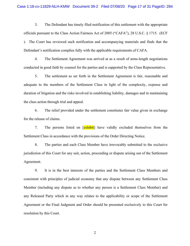3. The Defendant has timely filed notification of this settlement with the appropriate officials pursuant to the Class Action Fairness Act of 2005 ("CAFA"), 28 U.S.C. § 1715. (ECF ). The Court has reviewed such notification and accompanying materials and finds that the Defendant's notification complies fully with the applicable requirements of CAFA.

4. The Settlement Agreement was arrived at as a result of arms-length negotiations conducted in good faith by counsel for the parties and is supported by the Class Representative.

5. The settlement as set forth in the Settlement Agreement is fair, reasonable and adequate to the members of the Settlement Class in light of the complexity, expense and duration of litigation and the risks involved in establishing liability, damages and in maintaining the class action through trial and appeal.

6. The relief provided under the settlement constitutes fair value given in exchange for the release of claims.

7. The persons listed on [exhibit] have validly excluded themselves from the Settlement Class in accordance with the provisions of the Order Directing Notice.

8. The parties and each Class Member have irrevocably submitted to the exclusive jurisdiction of this Court for any suit, action, proceeding or dispute arising out of the Settlement Agreement.

9. It is in the best interests of the parties and the Settlement Class Members and consistent with principles of judicial economy that any dispute between any Settlement Class Member (including any dispute as to whether any person is a Settlement Class Member) and any Released Party which in any way relates to the applicability or scope of the Settlement Agreement or the Final Judgment and Order should be presented exclusively to this Court for resolution by this Court.

2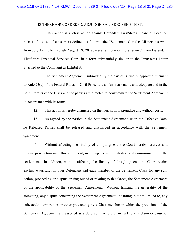#### IT IS THEREFORE ORDERED, ADJUDGED AND DECREED THAT:

10. This action is a class action against Defendant FirstStates Financial Corp. on behalf of a class of consumers defined as follows (the "Settlement Class"): All persons who, from July 19, 2016 through August 18, 2018, were sent one or more letter(s) from Defendant FirstStates Financial Services Corp. in a form substantially similar to the FirstStates Letter attached to the Complaint as Exhibit A.

11. The Settlement Agreement submitted by the parties is finally approved pursuant to Rule 23(e) of the Federal Rules of Civil Procedure as fair, reasonable and adequate and in the best interests of the Class and the parties are directed to consummate the Settlement Agreement in accordance with its terms.

12. This action is hereby dismissed on the merits, with prejudice and without costs.

13. As agreed by the parties in the Settlement Agreement, upon the Effective Date, the Released Parties shall be released and discharged in accordance with the Settlement Agreement.

14. Without affecting the finality of this judgment, the Court hereby reserves and retains jurisdiction over this settlement, including the administration and consummation of the settlement. In addition, without affecting the finality of this judgment, the Court retains exclusive jurisdiction over Defendant and each member of the Settlement Class for any suit, action, proceeding or dispute arising out of or relating to this Order, the Settlement Agreement or the applicability of the Settlement Agreement. Without limiting the generality of the foregoing, any dispute concerning the Settlement Agreement, including, but not limited to, any suit, action, arbitration or other proceeding by a Class member in which the provisions of the Settlement Agreement are asserted as a defense in whole or in part to any claim or cause of

3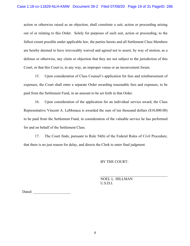action or otherwise raised as an objection, shall constitute a suit, action or proceeding arising out of or relating to this Order. Solely for purposes of such suit, action or proceeding, to the fullest extent possible under applicable law, the parties hereto and all Settlement Class Members are hereby deemed to have irrevocably waived and agreed not to assert, by way of motion, as a defense or otherwise, any claim or objection that they are not subject to the jurisdiction of this Court, or that this Court is, in any way, an improper venue or an inconvenient forum.

15. Upon consideration of Class Counsel's application for fees and reimbursement of expenses, the Court shall enter a separate Order awarding reasonable fees and expenses, to be paid from the Settlement Fund, in an amount to be set forth in that Order.

16. Upon consideration of the application for an individual service award, the Class Representative Vincent A. LaMonaca is awarded the sum of ten thousand dollars (\$10,000.00) to be paid from the Settlement Fund, in consideration of the valuable service he has performed for and on behalf of the Settlement Class.

17. The Court finds, pursuant to Rule 54(b) of the Federal Rules of Civil Procedure, that there is no just reason for delay, and directs the Clerk to enter final judgment.

#### BY THE COURT:

NOEL L. HILLMAN U.S.D.J.

Dated: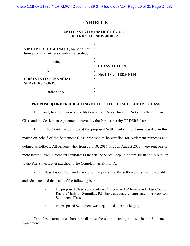Case 1:18-cv-11829-NLH-KMW Document 39-2 Filed 07/08/20 Page 20 of 31 PageID: 287

# **EXHIBIT B**

#### **UNITED STATES DISTRICT COURT DISTRICT OF NEW JERSEY**

| VINCENT A. LAMONACA, on behalf of<br>himself and all others similarly situated, |                       |
|---------------------------------------------------------------------------------|-----------------------|
| Plaintiff,                                                                      | ٠                     |
|                                                                                 | <b>CLASS ACTION</b>   |
| v.                                                                              |                       |
|                                                                                 | No. 1:18-cv-11829-NLH |
| <b>FIRSTSTATES FINANCIAL</b>                                                    | ٠                     |
| <b>SERVICES CORP.,</b>                                                          |                       |
|                                                                                 |                       |
| Defendant.                                                                      |                       |
|                                                                                 |                       |

### **[PROPOSED] ORDER DIRECTING NOTICE TO THE SETTLEMENT CLASS**

The Court, having reviewed the Motion for an Order Directing Notice to the Settlement Class and the Settlement Agreement<sup>1</sup> entered by the Parties, hereby ORDERS that:

1. The Court has considered the proposed Settlement of the claims asserted in this matter on behalf of the Settlement Class proposed to be certified for settlement purposes and defined as follows: All persons who, from July 19, 2016 through August 2018, were sent one or more letter(s) from Defendant FirstStates Financial Services Corp. in a form substantially similar to the FirstStates Letter attached to the Complaint as Exhibit A.

2. Based upon the Court's review, it appears that the settlement is fair, reasonable, and adequate, and that each of the following is true:

- a. the proposed Class Representative Vincent A. LaMonaca and Class Counsel Francis Mailman Soumilas, P.C. have adequately represented the proposed Settlement Class;
- b. the proposed Settlement was negotiated at arm's length;

<sup>1</sup> Capitalized terms used herein shall have the same meaning as used in the Settlement Agreement.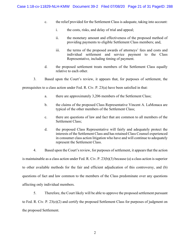- c. the relief provided for the Settlement Class is adequate, taking into account:
	- i. the costs, risks, and delay of trial and appeal;
	- ii. the monetary amount and effectiveness of the proposed method of providing payments to eligible Settlement Class members; and,
	- iii. the terms of the proposed awards of attorneys' fees and costs and individual settlement and service payment to the Class Representative, including timing of payment.
- d. the proposed settlement treats members of the Settlement Class equally relative to each other.
- 3. Based upon the Court's review, it appears that, for purposes of settlement, the

prerequisites to a class action under Fed. R. Civ. P. 23(a) have been satisfied in that:

- a. there are approximately 3,206 members of the Settlement Class;
- b. the claims of the proposed Class Representative Vincent A. LaMonaca are typical of the other members of the Settlement Class;
- c. there are questions of law and fact that are common to all members of the Settlement Class;
- d. the proposed Class Representative will fairly and adequately protect the interests of the Settlement Class and has retained Class Counsel experienced in consumer class action litigation who have and will continue to adequately represent the Settlement Class.
- 4. Based upon the Court's review, for purposes of settlement, it appears that the action

is maintainable as a class action under Fed. R. Civ. P. 23(b)(3) because (a) a class action is superior to other available methods for the fair and efficient adjudication of this controversy, and (b) questions of fact and law common to the members of the Class predominate over any questions affecting only individual members.

5. Therefore, the Court likely will be able to approve the proposed settlement pursuant to Fed. R. Civ. P. 23(e)(2) and certify the proposed Settlement Class for purposes of judgment on the proposed Settlement.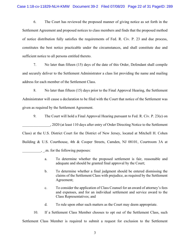6. The Court has reviewed the proposed manner of giving notice as set forth in the Settlement Agreement and proposed notices to class members and finds that the proposed method of notice distribution fully satisfies the requirements of Fed. R. Civ. P. 23 and due process, constitutes the best notice practicable under the circumstances, and shall constitute due and sufficient notice to all persons entitled thereto.

7. No later than fifteen (15) days of the date of this Order, Defendant shall compile and securely deliver to the Settlement Administrator a class list providing the name and mailing address for each member of the Settlement Class.

8. No later than fifteen (15) days prior to the Final Approval Hearing, the Settlement Administrator will cause a declaration to be filed with the Court that notice of the Settlement was given as required by the Settlement Agreement.

9. The Court will hold a Final Approval Hearing pursuant to Fed. R. Civ. P. 23(e) on \_\_\_\_\_\_\_\_\_\_\_\_\_\_\_, 2020 (at least 110 days after entry of Order Directing Notice to the Settlement Class) at the U.S. District Court for the District of New Jersey, located at Mitchell H. Cohen Building & U.S. Courthouse, 4th & Cooper Streets, Camden, NJ 08101, Courtroom 3A at \_\_\_\_\_\_\_\_\_\_, \_.m. for the following purposes:

- a. To determine whether the proposed settlement is fair, reasonable and adequate and should be granted final approval by the Court;
- b. To determine whether a final judgment should be entered dismissing the claims of the Settlement Class with prejudice, as required by the Settlement Agreement;
- c. To consider the application of Class Counsel for an award of attorney's fees and expenses, and for an individual settlement and service award to the Class Representatives; and
- d. To rule upon other such matters as the Court may deem appropriate.

10. If a Settlement Class Member chooses to opt out of the Settlement Class, such Settlement Class Member is required to submit a request for exclusion to the Settlement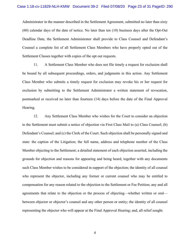Administrator in the manner described in the Settlement Agreement, submitted no later than sixty (60) calendar days of the date of notice. No later than ten (10) business days after the Opt-Out Deadline Date, the Settlement Administrator shall provide to Class Counsel and Defendant's Counsel a complete list of all Settlement Class Members who have properly opted out of the Settlement Classes together with copies of the opt out requests.

11. A Settlement Class Member who does not file timely a request for exclusion shall be bound by all subsequent proceedings, orders, and judgments in this action. Any Settlement Class Member who submits a timely request for exclusion may revoke his or her request for exclusion by submitting to the Settlement Administrator a written statement of revocation, postmarked or received no later than fourteen (14) days before the date of the Final Approval Hearing.

12. Any Settlement Class Member who wishes for the Court to consider an objection to the Settlement must submit a notice of objection via First Class Mail to (a) Class Counsel; (b) Defendant's Counsel; and (c) the Clerk of the Court. Such objection shall be personally signed and state: the caption of the Litigation; the full name, address and telephone number of the Class Member objecting to the Settlement; a detailed statement of each objection asserted, including the grounds for objection and reasons for appearing and being heard, together with any documents such Class Member wishes to be considered in support of the objection; the identity of all counsel who represent the objector, including any former or current counsel who may be entitled to compensation for any reason related to the objection to the Settlement or Fee Petition; any and all agreements that relate to the objection or the process of objecting—whether written or oral between objector or objector's counsel and any other person or entity; the identity of all counsel representing the objector who will appear at the Final Approval Hearing; and, all relief sought.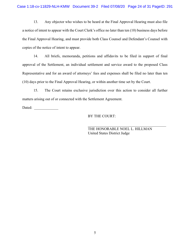13. Any objector who wishes to be heard at the Final Approval Hearing must also file a notice of intent to appear with the Court Clerk's office no later than ten (10) business days before the Final Approval Hearing, and must provide both Class Counsel and Defendant's Counsel with copies of the notice of intent to appear.

14. All briefs, memoranda, petitions and affidavits to be filed in support of final approval of the Settlement, an individual settlement and service award to the proposed Class Representative and for an award of attorneys' fees and expenses shall be filed no later than ten (10) days prior to the Final Approval Hearing, or within another time set by the Court.

15. The Court retains exclusive jurisdiction over this action to consider all further matters arising out of or connected with the Settlement Agreement.

Dated:

# BY THE COURT:

THE HONORABLE NOEL L. HILLMAN United States District Judge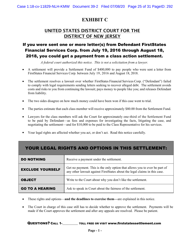# **EXHIBIT C**

# UNITED STATES DISTRICT COURT FOR THE DISTRICT OF NEW JERSEY

# If you were sent one or more letter(s) from Defendant FirstStates Financial Services Corp. from July 19, 2016 through August 18, 2018, you could get a payment from a class action settlement.

*A federal court authorized this notice. This is not a solicitation from a lawyer.*

- A settlement will provide a Settlement Fund of \$400,000 to pay people who were sent a letter from FirstStates Financial Services Corp. between July 19, 2016 and August 18, 2018.
- The settlement resolves a lawsuit over whether FirstStates Financial Services Corp. ("Defendant") failed to comply with legal requirements sending letters seeking to recover alleged debt. The settlement avoids costs and risks to you from continuing the lawsuit; pays money to people like you; and releases Defendant from liability.
- The two sides disagree on how much money could have been won if this case went to trial.
- The parties estimate that each class member will receive approximately \$80.00 from the Settlement Fund.
- Lawyers for the class members will ask the Court for approximately one-third of the Settlement Fund to be paid by Defendant—as fees and expenses for investigating the facts, litigating the case, and negotiating the settlement—and for \$10,000 to be paid to the Class Representative for his services.
- Your legal rights are affected whether you act, or don't act. Read this notice carefully.

# YOUR LEGAL RIGHTS AND OPTIONS IN THIS SETTLEMENT:

| <b>DO NOTHING</b>       | Receive a payment under the settlement.                                                                                                                  |
|-------------------------|----------------------------------------------------------------------------------------------------------------------------------------------------------|
| <b>EXCLUDE YOURSELF</b> | Get no payment. This is the only option that allows you to ever be part of<br>any other lawsuit against FirstStates about the legal claims in this case. |
| <b>OBJECT</b>           | Write to the Court about why you don't like the settlement.                                                                                              |
| <b>GO TO A HEARING</b>  | Ask to speak in Court about the fairness of the settlement.                                                                                              |

- These rights and options—**and the deadlines to exercise them—**are explained in this notice.
- The Court in charge of this case still has to decide whether to approve the settlement. Payments will be made if the Court approves the settlement and after any appeals are resolved. Please be patient.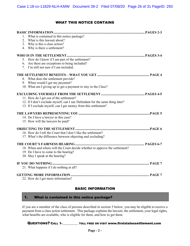# WHAT THIS NOTICE CONTAINS

| 1. What is contained in this notice package?                                 |  |
|------------------------------------------------------------------------------|--|
| What is this lawsuit about?<br>2.                                            |  |
| 3. Why is this a class action?                                               |  |
| 4. Why is there a settlement?                                                |  |
|                                                                              |  |
| 5. How do I know if I am part of the settlement?                             |  |
| 6. Are there are exceptions to being included?                               |  |
| 7. I'm still not sure if I am included.                                      |  |
|                                                                              |  |
| 8. What does the settlement provide?                                         |  |
| 9. When would I get my payment?                                              |  |
| 10. What am I giving up to get a payment to stay in the Class?               |  |
|                                                                              |  |
| 11. How do I get out of the settlement?                                      |  |
| 12. If I don't exclude myself, can I sue Defendant for the same thing later? |  |
| 13. If I exclude myself, can I get money from this settlement?               |  |
|                                                                              |  |
| 14. Do I have a lawyer in this case?                                         |  |
| 15. How will the lawyers be paid?                                            |  |
|                                                                              |  |
| 16. How do I tell the Court that I don't like the settlement?                |  |
| 17. What's the difference between objecting and excluding?                   |  |
|                                                                              |  |
| 18. When and where will the Court decide whether to approve the settlement?  |  |
| 19. Do I have to come to the hearing?                                        |  |
| 20. May I speak at the hearing?                                              |  |
|                                                                              |  |
| 21. What happens if I do nothing at all?                                     |  |
|                                                                              |  |
| 22. How do I get more information?                                           |  |

# BASIC INFORMATION

#### 1. What is contained in this notice package?

If you are a member of the class of persons described in section 5 below, you may be eligible to receive a payment from a class action settlement. This package explains the lawsuit, the settlement, your legal rights, what benefits are available, who is eligible for them, and how to get them.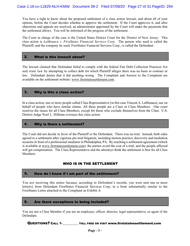You have a right to know about the proposed settlement of a class action lawsuit, and about all of your options, before the Court decides whether to approve the settlement. If the Court approves it, and after objections and appeals are resolved, an administrator appointed by the Court will make the payments that the settlement allows. You will be informed of the progress of the settlement.

The Court in charge of the case is the United States District Court for the District of New Jersey. This class action is *LaMonaca v. FirstStates Financial Services Corp.* The person who sued is called the Plaintiff, and the company he sued, FirstStates Financial Services Corp., is called the Defendant.

#### 2. What is this lawsuit about?

The lawsuit claimed that Defendant failed to comply with the federal Fair Debt Collection Practices Act and state law by attempting to collect debt for which Plaintiff alleges there was no basis in contract or law. Defendant denies that it did anything wrong. The Complaint and Answer to the Complaint are available on the settlement website: www.firststatessettlement.com.

# 3. Why is this a class action?

In a class action, one or more people called Class Representative (in this case Vincent A. LaMonaca), sue on behalf of people who have similar claims. All these people are a Class or Class Members. One court resolves the issues for all Class Members, except for those who exclude themselves from the Class. U.S. District Judge Noel L. Hillman oversees this class action.

#### 4. Why is there a settlement?

The Court did not decide in favor of the Plaintiff or the Defendant. There was no trial. Instead, both sides agreed to a settlement after vigorous pre-trial litigation, including motion practice, discovery and mediation sessions in front of a professional mediator in Philadelphia, PA. By reaching a settlement agreement (which is available at www.firststatessettlement.com), the parties avoid the cost of a trial, and the people affected will get compensation. The Class Representative and the attorneys think the settlement is best for all Class Members.

# WHO IS IN THE SETTLEMENT

#### 5. How do I know if I am part of the settlement?

You are receiving this notice because, according to Defendant's records, you were sent one or more letter(s) from Defendant FirstStates Financial Services Corp. in a form substantially similar to the FirstStates Letter attached to the Complaint as Exhibit A.

#### 6. Are there exceptions to being included?

You are not a Class Member if you are an employee, officer, director, legal representative, or agent of the Defendant.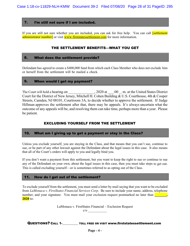#### 7. I'm still not sure if I am included.

If you are still not sure whether you are included, you can ask for free help. You can call **[settlement**] administrator number] or visit www.firststatessettlement.com for more information.

## THE SETTLEMENT BENEFITS—WHAT YOU GET

#### 8. What does the settlement provide?

Defendant has agreed to create a \$400,000 fund from which each Class Member who does not exclude him or herself from the settlement will be mailed a check.

#### 9. When would I get my payment?

The Court will hold a hearing on \_\_\_\_\_\_\_\_\_\_\_\_\_\_\_, 2020 at \_\_\_:00 \_. m. at the United States District Court for the District of New Jersey, Mitchell H. Cohen Building & U.S. Courthouse, 4th & Cooper Streets, Camden, NJ 08101, Courtroom 3A, to decide whether to approve the settlement. If Judge Hillman approves the settlement after that, there may be appeals. It's always uncertain what the outcome of any appeals will be, and resolving them can take time, perhaps more than a year. Please be patient.

# EXCLUDING YOURSELF FROM THE SETTLEMENT

#### 10. What am I giving up to get a payment or stay in the Class?

Unless you exclude yourself, you are staying in the Class, and that means that you can't sue, continue to sue, or be part of any other lawsuit against the Defendant about the legal issues in this case. It also means that all of the Court's orders will apply to you and legally bind you.

If you don't want a payment from this settlement, but you want to keep the right to sue or continue to sue any of the Defendant on your own, about the legal issues in this case, then you must take steps to get out. This is called excluding yourself—or is sometimes referred to as opting out of the Class.

#### 11. How do I get out of the settlement?

To exclude yourself from the settlement, you must send a letter by mail saying that you want to be excluded from *LaMonaca v. FirstStates Financial Services Corp*. Be sure to include your name, address, telephone number, and your signature. You must mail your exclusion request postmarked no later than **the set of the set of the set of the set of the set of the set of the set of the set of the set of the set of the set of the set of 2020** to:

> LaMonaca v. FirstStates Financial – Exclusion Request  $c/o$

QUESTIONS? CALL 1-\_\_\_\_\_\_\_\_\_\_ TOLL FREE OR VISIT www.firststatessettlement.com

**Page - 4 -**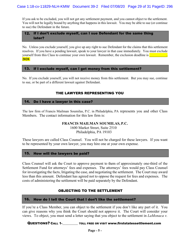If you ask to be excluded, you will not get any settlement payment, and you cannot object to the settlement. You will not be legally bound by anything that happens in this lawsuit. You may be able to sue (or continue to sue) the Defendant in the future.

# 12. If I don't exclude myself, can I sue Defendant for the same thing later?

No. Unless you exclude yourself, you give up any right to sue Defendant for the claims that this settlement resolves. If you have a pending lawsuit, speak to your lawyer in that case immediately. You must exclude yourself from this Class to continue your own lawsuit. Remember, the exclusion deadline is  $\blacksquare$ **2020**.

### 13. If I exclude myself, can I get money from this settlement?

No. If you exclude yourself, you will not receive money from this settlement. But you may sue, continue to sue, or be part of a different lawsuit against Defendant.

# THE LAWYERS REPRESENTING YOU

### 14. Do I have a lawyer in this case?

The law firm of Francis Mailman Soumilas, P.C. in Philadelphia, PA represents you and other Class Members. The contact information for this law firm is:

#### **FRANCIS MAILMAN SOUMILAS, P.C.**

1600 Market Street, Suite 2510 Philadelphia, PA 19103

These lawyers are called Class Counsel. You will not be charged for these lawyers. If you want to be represented by your own lawyer, you may hire one at your own expense.

# 15. How will the lawyers be paid?

Class Counsel will ask the Court to approve payment to them of approximately one-third of the Settlement Fund for attorneys' fees and expenses. The attorneys' fees would pay Class Counsel for investigating the facts, litigating the case, and negotiating the settlement. The Court may award less than this amount. Defendant has agreed not to oppose the request for fees and expenses. The costs of administering the settlement will be paid separately by the Defendant.

# OBJECTING TO THE SETTLEMENT

# 16. How do I tell the Court that I don't like the settlement?

If you're a Class Member, you can object to the settlement if you don't like any part of it. You can give reasons why you think the Court should not approve it. The Court will consider your views. To object, you must send a letter saying that you object to the settlement in *LaMonaca v.*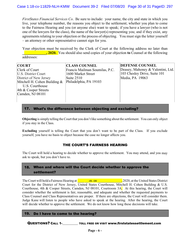*FirstStates Financial Services Co*. Be sure to include: your name, the city and state in which you live, your telephone number, the reasons you object to the settlement; whether you plan to come to the Fairness Hearing and you (or anyone else) want to speak; if you have a lawyer (who is not one of the lawyers for the class), the name of the lawyer(s) representing you; and if they exist, any agreements relating to your objection or the process of objecting. You must sign the letter yourself – an attorney or other representative cannot sign for you.

Your objection must be received by the Clerk of Court at the following address no later than **. 2020.** You should also send copies of your objection to Counsel at the following addresses:

| <b>CLASS COUNSEL</b> | <b>DEFENSE COUNSEL</b>                                                                         |
|----------------------|------------------------------------------------------------------------------------------------|
|                      | Deasey, Mahoney & Valentini, Ltd.                                                              |
|                      | 103 Chesley Drive, Suite 101                                                                   |
|                      | Media, PA 19063                                                                                |
|                      |                                                                                                |
|                      |                                                                                                |
|                      |                                                                                                |
|                      |                                                                                                |
|                      |                                                                                                |
|                      | Francis Mailman Soumilas, P.C.<br>1600 Market Street<br>Suite $2510$<br>Philadelphia, PA 19103 |

# 17. What's the difference between objecting and excluding?

**Objecting** is simply telling the Court that you don't like something about the settlement. You can only object if you stay in the Class.

**Excluding** yourself is telling the Court that you don't want to be part of the Class. If you exclude yourself, you have no basis to object because the case no longer affects you.

# THE COURT'S FAIRNESS HEARING

The Court will hold a hearing to decide whether to approve the settlement. You may attend, and you may ask to speak, but you don't have to.

# 18. When and where will the Court decide whether to approve the settlement?

The Court will hold a Fairness Hearing at  $\frac{1}{\sqrt{2}}$  m. on  $\frac{1}{\sqrt{2}}$  2020, at the United States District Court for the District of New Jersey, United States Courthouse, Mitchell H. Cohen Building & U.S. Courthouse, 4th & Cooper Streets, Camden, NJ 08101, Courtroom 3A. At this hearing, the Court will consider whether the settlement is fair, reasonable, and adequate and whether the requested payments to Class Counsel and Class Representatives are proper. If there are objections, the Court will consider them. Judge Kane will listen to people who have asked to speak at the hearing. After the hearing, the Court will decide whether to approve the settlement. We do not know how long these decisions will take.

#### 19. Do I have to come to the hearing?